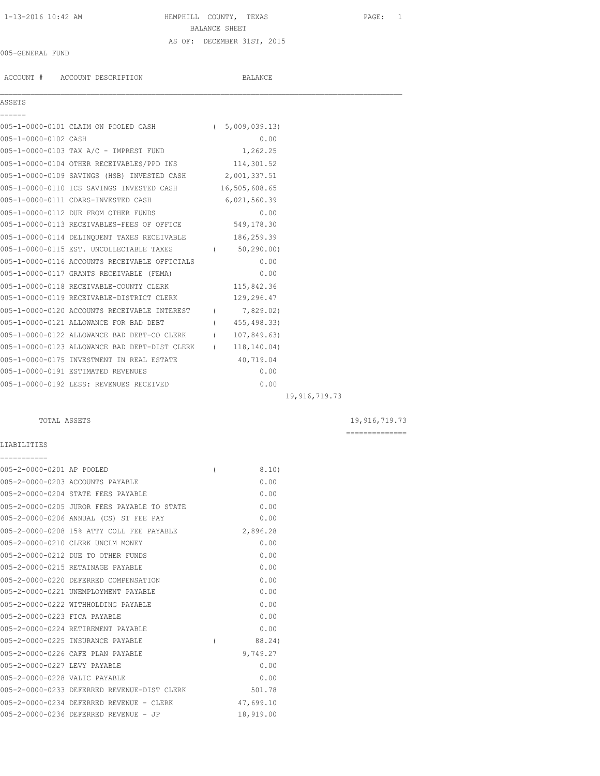# 1-13-2016 10:42 AM HEMPHILL COUNTY, TEXAS PAGE: 1 BALANCE SHEET AS OF: DECEMBER 31ST, 2015

### 005-GENERAL FUND

|                      | ACCOUNT # ACCOUNT DESCRIPTION                              | BALANCE        |  |
|----------------------|------------------------------------------------------------|----------------|--|
| <b>ASSETS</b>        |                                                            |                |  |
| ======               | 005-1-0000-0101 CLAIM ON POOLED CASH (5,009,039.13)        |                |  |
| 005-1-0000-0102 CASH |                                                            | 0.00           |  |
|                      | 005-1-0000-0103 TAX A/C - IMPREST FUND                     | 1,262.25       |  |
|                      | 005-1-0000-0104 OTHER RECEIVABLES/PPD INS 114,301.52       |                |  |
|                      | 005-1-0000-0109 SAVINGS (HSB) INVESTED CASH 2,001,337.51   |                |  |
|                      | 005-1-0000-0110 ICS SAVINGS INVESTED CASH 16,505,608.65    |                |  |
|                      | 005-1-0000-0111 CDARS-INVESTED CASH                        | 6,021,560.39   |  |
|                      | 005-1-0000-0112 DUE FROM OTHER FUNDS                       | 0.00           |  |
|                      | 005-1-0000-0113 RECEIVABLES-FEES OF OFFICE 549,178.30      |                |  |
|                      | 005-1-0000-0114 DELINQUENT TAXES RECEIVABLE 186,259.39     |                |  |
|                      | 005-1-0000-0115 EST. UNCOLLECTABLE TAXES (60,290.00)       |                |  |
|                      | 005-1-0000-0116 ACCOUNTS RECEIVABLE OFFICIALS              | 0.00           |  |
|                      | 005-1-0000-0117 GRANTS RECEIVABLE (FEMA)                   | 0.00           |  |
|                      | 005-1-0000-0118 RECEIVABLE-COUNTY CLERK                    | 115,842.36     |  |
|                      | 005-1-0000-0119 RECEIVABLE-DISTRICT CLERK 129,296.47       |                |  |
|                      | 005-1-0000-0120 ACCOUNTS RECEIVABLE INTEREST               | (7, 829, 02)   |  |
|                      | 005-1-0000-0121 ALLOWANCE FOR BAD DEBT                     | (455, 498, 33) |  |
|                      | 005-1-0000-0122 ALLOWANCE BAD DEBT-CO CLERK                | (107, 849, 63) |  |
|                      | 005-1-0000-0123 ALLOWANCE BAD DEBT-DIST CLERK (118,140.04) |                |  |
|                      | 005-1-0000-0175 INVESTMENT IN REAL ESTATE                  | 40,719.04      |  |
|                      | 005-1-0000-0191 ESTIMATED REVENUES                         | 0.00           |  |
|                      | 005-1-0000-0192 LESS: REVENUES RECEIVED                    | 0.00           |  |

19,916,719.73

# TOTAL ASSETS 19,916,719.73

==============

# LIABILITIES ===========

| 005-2-0000-0201 AP POOLED     |                                             |   | 8.10)     |
|-------------------------------|---------------------------------------------|---|-----------|
|                               | 005-2-0000-0203 ACCOUNTS PAYABLE            |   | 0.00      |
|                               | 005-2-0000-0204 STATE FEES PAYABLE          |   | 0.00      |
|                               | 005-2-0000-0205 JUROR FEES PAYABLE TO STATE |   | 0.00      |
|                               | 005-2-0000-0206 ANNUAL (CS) ST FEE PAY      |   | 0.00      |
|                               | 005-2-0000-0208 15% ATTY COLL FEE PAYABLE   |   | 2,896.28  |
|                               | 005-2-0000-0210 CLERK UNCLM MONEY           |   | 0.00      |
|                               | 005-2-0000-0212 DUE TO OTHER FUNDS          |   | 0.00      |
|                               | 005-2-0000-0215 RETAINAGE PAYABLE           |   | 0.00      |
|                               | 005-2-0000-0220 DEFERRED COMPENSATION       |   | 0.00      |
|                               | 005-2-0000-0221 UNEMPLOYMENT PAYABLE        |   | 0.00      |
|                               | 005-2-0000-0222 WITHHOLDING PAYABLE         |   | 0.00      |
| 005-2-0000-0223 FICA PAYABLE  |                                             |   | 0.00      |
|                               | 005-2-0000-0224 RETIREMENT PAYABLE          |   | 0.00      |
|                               | 005-2-0000-0225 INSURANCE PAYABLE           | ( | 88.24)    |
|                               | 005-2-0000-0226 CAFE PLAN PAYABLE           |   | 9,749.27  |
| 005-2-0000-0227 LEVY PAYABLE  |                                             |   | 0.00      |
| 005-2-0000-0228 VALIC PAYABLE |                                             |   | 0.00      |
|                               | 005-2-0000-0233 DEFERRED REVENUE-DIST CLERK |   | 501.78    |
|                               | 005-2-0000-0234 DEFERRED REVENUE - CLERK    |   | 47,699.10 |
|                               | 005-2-0000-0236 DEFERRED REVENUE - JP       |   | 18,919.00 |
|                               |                                             |   |           |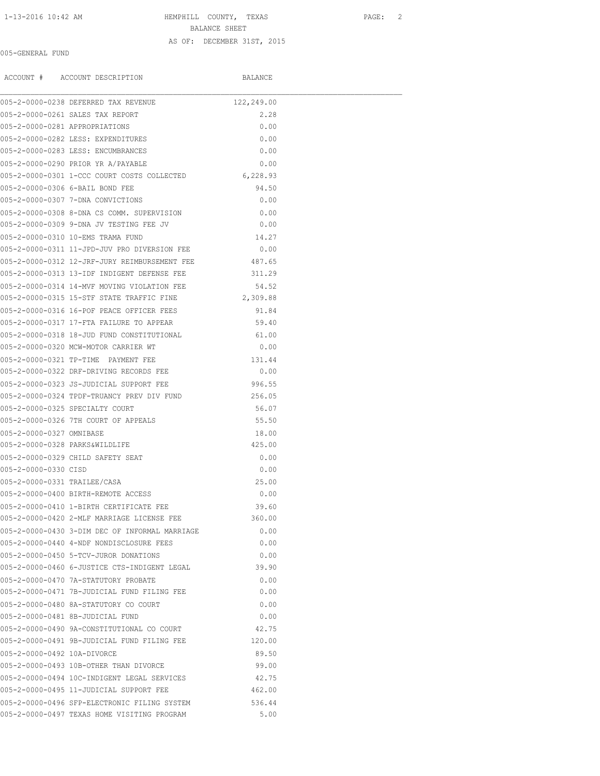1-13-2016 10:42 AM HEMPHILL COUNTY, TEXAS PAGE: 2

BALANCE SHEET

#### AS OF: DECEMBER 31ST, 2015

### 005-GENERAL FUND

ACCOUNT # ACCOUNT DESCRIPTION BALANCE

|                                | 005-2-0000-0238 DEFERRED TAX REVENUE                                                       | 122,249.00 |
|--------------------------------|--------------------------------------------------------------------------------------------|------------|
|                                | 005-2-0000-0261 SALES TAX REPORT                                                           | 2.28       |
| 005-2-0000-0281 APPROPRIATIONS |                                                                                            | 0.00       |
|                                | 005-2-0000-0282 LESS: EXPENDITURES                                                         | 0.00       |
|                                | 005-2-0000-0283 LESS: ENCUMBRANCES                                                         | 0.00       |
|                                | 005-2-0000-0290 PRIOR YR A/PAYABLE                                                         | 0.00       |
|                                | 005-2-0000-0301 1-CCC COURT COSTS COLLECTED 6,228.93                                       |            |
|                                | 005-2-0000-0306 6-BAIL BOND FEE                                                            | 94.50      |
|                                | 005-2-0000-0307 7-DNA CONVICTIONS                                                          | 0.00       |
|                                | 005-2-0000-0308 8-DNA CS COMM. SUPERVISION                                                 | 0.00       |
|                                | 005-2-0000-0309 9-DNA JV TESTING FEE JV                                                    | 0.00       |
|                                | 005-2-0000-0310 10-EMS TRAMA FUND                                                          | 14.27      |
|                                | 005-2-0000-0311 11-JPD-JUV PRO DIVERSION FEE                                               | 0.00       |
|                                | 005-2-0000-0312 12-JRF-JURY REIMBURSEMENT FEE                                              | 487.65     |
|                                | 005-2-0000-0313 13-IDF INDIGENT DEFENSE FEE                                                | 311.29     |
|                                | 005-2-0000-0314 14-MVF MOVING VIOLATION FEE                                                | 54.52      |
|                                | 005-2-0000-0315 15-STF STATE TRAFFIC FINE                                                  | 2,309.88   |
|                                | 005-2-0000-0316 16-POF PEACE OFFICER FEES                                                  | 91.84      |
|                                | 005-2-0000-0317 17-FTA FAILURE TO APPEAR                                                   | 59.40      |
|                                | 005-2-0000-0318 18-JUD FUND CONSTITUTIONAL                                                 | 61.00      |
|                                | 005-2-0000-0320 MCW-MOTOR CARRIER WT                                                       | 0.00       |
|                                | 005-2-0000-0321 TP-TIME PAYMENT FEE                                                        | 131.44     |
|                                | 005-2-0000-0322 DRF-DRIVING RECORDS FEE                                                    | 0.00       |
|                                | 005-2-0000-0323 JS-JUDICIAL SUPPORT FEE                                                    | 996.55     |
|                                | 005-2-0000-0324 TPDF-TRUANCY PREV DIV FUND                                                 | 256.05     |
|                                | 005-2-0000-0325 SPECIALTY COURT                                                            | 56.07      |
|                                | 005-2-0000-0326 7TH COURT OF APPEALS                                                       | 55.50      |
| 005-2-0000-0327 OMNIBASE       |                                                                                            | 18.00      |
|                                | 005-2-0000-0328 PARKS&WILDLIFE                                                             | 425.00     |
|                                | 005-2-0000-0329 CHILD SAFETY SEAT                                                          | 0.00       |
| 005-2-0000-0330 CISD           |                                                                                            | 0.00       |
| 005-2-0000-0331 TRAILER/CASA   |                                                                                            | 25.00      |
|                                | 005-2-0000-0400 BIRTH-REMOTE ACCESS                                                        | 0.00       |
|                                |                                                                                            | 39.60      |
|                                | 005-2-0000-0410 1-BIRTH CERTIFICATE FEE<br>005-2-0000-0420 2-MLF MARRIAGE LICENSE FEE      | 360.00     |
|                                |                                                                                            | 0.00       |
|                                | 005-2-0000-0430 3-DIM DEC OF INFORMAL MARRIAGE<br>005-2-0000-0440 4-NDF NONDISCLOSURE FEES |            |
|                                |                                                                                            | 0.00       |
|                                | 005-2-0000-0450 5-TCV-JUROR DONATIONS                                                      | 0.00       |
|                                | 005-2-0000-0460 6-JUSTICE CTS-INDIGENT LEGAL                                               | 39.90      |
|                                | 005-2-0000-0470 7A-STATUTORY PROBATE                                                       | 0.00       |
|                                | 005-2-0000-0471 7B-JUDICIAL FUND FILING FEE                                                | 0.00       |
|                                | 005-2-0000-0480 8A-STATUTORY CO COURT                                                      | 0.00       |
|                                | 005-2-0000-0481 8B-JUDICIAL FUND                                                           | 0.00       |
|                                | 005-2-0000-0490 9A-CONSTITUTIONAL CO COURT                                                 | 42.75      |
|                                | 005-2-0000-0491 9B-JUDICIAL FUND FILING FEE                                                | 120.00     |
| 005-2-0000-0492 10A-DIVORCE    |                                                                                            | 89.50      |
|                                | 005-2-0000-0493 10B-OTHER THAN DIVORCE                                                     | 99.00      |
|                                | 005-2-0000-0494 10C-INDIGENT LEGAL SERVICES                                                | 42.75      |
|                                | 005-2-0000-0495 11-JUDICIAL SUPPORT FEE                                                    | 462.00     |
|                                | 005-2-0000-0496 SFP-ELECTRONIC FILING SYSTEM                                               | 536.44     |
|                                | 005-2-0000-0497 TEXAS HOME VISITING PROGRAM                                                | 5.00       |
|                                |                                                                                            |            |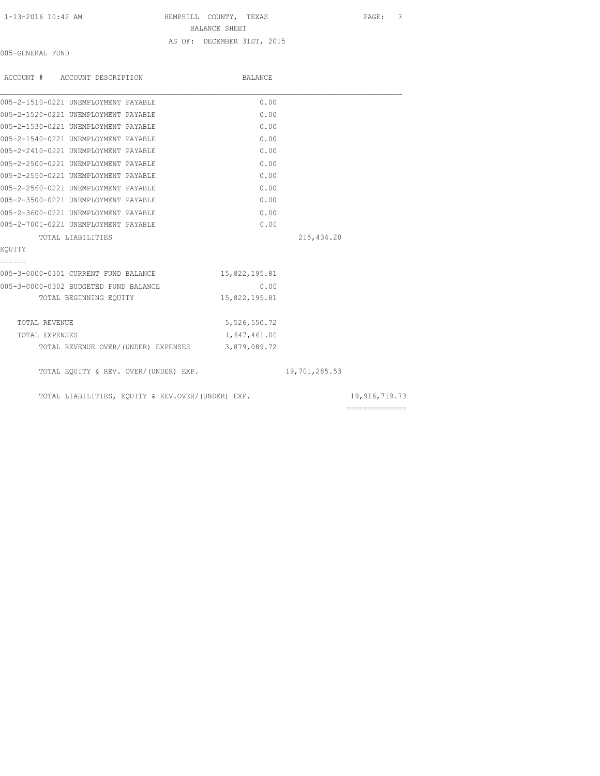1-13-2016 10:42 AM HEMPHILL COUNTY, TEXAS PAGE: 3 BALANCE SHEET AS OF: DECEMBER 31ST, 2015

005-GENERAL FUND

| ACCOUNT # ACCOUNT DESCRIPTION                     | <b>BALANCE</b> |               |                |
|---------------------------------------------------|----------------|---------------|----------------|
| 005-2-1510-0221 UNEMPLOYMENT PAYABLE              | 0.00           |               |                |
| 005-2-1520-0221 UNEMPLOYMENT PAYABLE              | 0.00           |               |                |
| 005-2-1530-0221 UNEMPLOYMENT PAYABLE              | 0.00           |               |                |
| 005-2-1540-0221 UNEMPLOYMENT PAYABLE              | 0.00           |               |                |
| 005-2-2410-0221 UNEMPLOYMENT PAYABLE              | 0.00           |               |                |
| 005-2-2500-0221 UNEMPLOYMENT PAYABLE              | 0.00           |               |                |
| 005-2-2550-0221 UNEMPLOYMENT PAYABLE              | 0.00           |               |                |
| 005-2-2560-0221 UNEMPLOYMENT PAYABLE              | 0.00           |               |                |
| 005-2-3500-0221 UNEMPLOYMENT PAYABLE              | 0.00           |               |                |
| 005-2-3600-0221 UNEMPLOYMENT PAYABLE              | 0.00           |               |                |
| 005-2-7001-0221 UNEMPLOYMENT PAYABLE              | 0.00           |               |                |
| TOTAL LIABILITIES                                 |                | 215, 434.20   |                |
| EOUITY                                            |                |               |                |
| ======                                            |                |               |                |
| 005-3-0000-0301 CURRENT FUND BALANCE              | 15,822,195.81  |               |                |
| 005-3-0000-0302 BUDGETED FUND BALANCE             | 0.00           |               |                |
| TOTAL BEGINNING EQUITY                            | 15,822,195.81  |               |                |
| TOTAL REVENUE                                     | 5,526,550.72   |               |                |
| TOTAL EXPENSES                                    | 1,647,461.00   |               |                |
| TOTAL REVENUE OVER/(UNDER) EXPENSES 3,879,089.72  |                |               |                |
| TOTAL EQUITY & REV. OVER/(UNDER) EXP.             |                | 19,701,285.53 |                |
| TOTAL LIABILITIES, EQUITY & REV.OVER/(UNDER) EXP. |                |               | 19,916,719.73  |
|                                                   |                |               | ============== |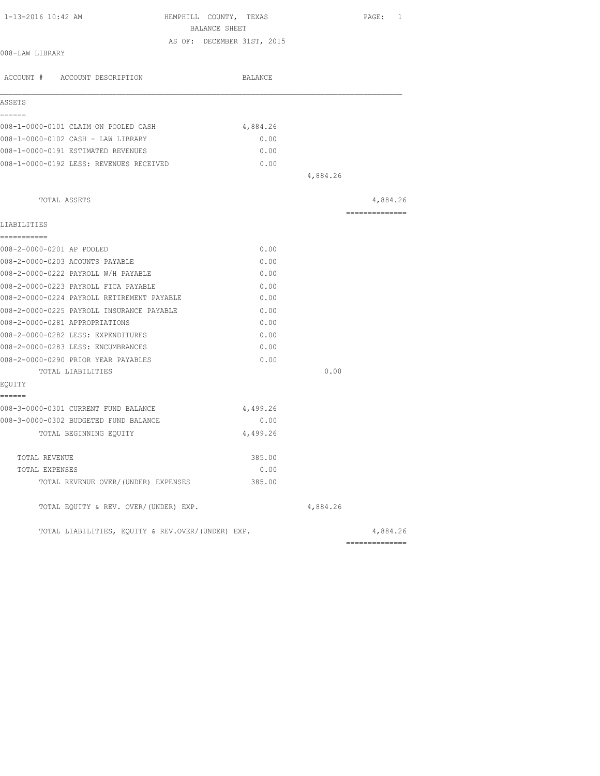| 1-13-2016 10:42 AM                                | HEMPHILL COUNTY, TEXAS     |          | PAGE: 1        |
|---------------------------------------------------|----------------------------|----------|----------------|
|                                                   | BALANCE SHEET              |          |                |
| 008-LAW LIBRARY                                   | AS OF: DECEMBER 31ST, 2015 |          |                |
| ACCOUNT # ACCOUNT DESCRIPTION                     | <b>BALANCE</b>             |          |                |
| ASSETS                                            |                            |          |                |
| ======<br>008-1-0000-0101 CLAIM ON POOLED CASH    | 4,884.26                   |          |                |
| 008-1-0000-0102 CASH - LAW LIBRARY                | 0.00                       |          |                |
| 008-1-0000-0191 ESTIMATED REVENUES                | 0.00                       |          |                |
| 008-1-0000-0192 LESS: REVENUES RECEIVED           | 0.00                       |          |                |
|                                                   |                            | 4,884.26 |                |
| TOTAL ASSETS                                      |                            |          | 4,884.26       |
| LIABILITIES                                       |                            |          | -------------- |
| -----------                                       |                            |          |                |
| 008-2-0000-0201 AP POOLED                         | 0.00                       |          |                |
| 008-2-0000-0203 ACOUNTS PAYABLE                   | 0.00                       |          |                |
| 008-2-0000-0222 PAYROLL W/H PAYABLE               | 0.00                       |          |                |
| 008-2-0000-0223 PAYROLL FICA PAYABLE              | 0.00                       |          |                |
| 008-2-0000-0224 PAYROLL RETIREMENT PAYABLE        | 0.00                       |          |                |
| 008-2-0000-0225 PAYROLL INSURANCE PAYABLE         | 0.00                       |          |                |
| 008-2-0000-0281 APPROPRIATIONS                    | 0.00                       |          |                |
| 008-2-0000-0282 LESS: EXPENDITURES                | 0.00                       |          |                |
| 008-2-0000-0283 LESS: ENCUMBRANCES                | 0.00                       |          |                |
| 008-2-0000-0290 PRIOR YEAR PAYABLES               | 0.00                       |          |                |
| TOTAL LIABILITIES                                 |                            | 0.00     |                |
| EQUITY<br>------                                  |                            |          |                |
| 008-3-0000-0301 CURRENT FUND BALANCE              | 4,499.26                   |          |                |
| 008-3-0000-0302 BUDGETED FUND BALANCE             | 0.00                       |          |                |
| TOTAL BEGINNING EQUITY                            | 4,499.26                   |          |                |
| TOTAL REVENUE                                     | 385.00                     |          |                |
| TOTAL EXPENSES                                    | 0.00                       |          |                |
| TOTAL REVENUE OVER/(UNDER) EXPENSES               | 385.00                     |          |                |
| TOTAL EQUITY & REV. OVER/(UNDER) EXP.             |                            | 4,884.26 |                |
| TOTAL LIABILITIES, EQUITY & REV.OVER/(UNDER) EXP. |                            |          | 4,884.26       |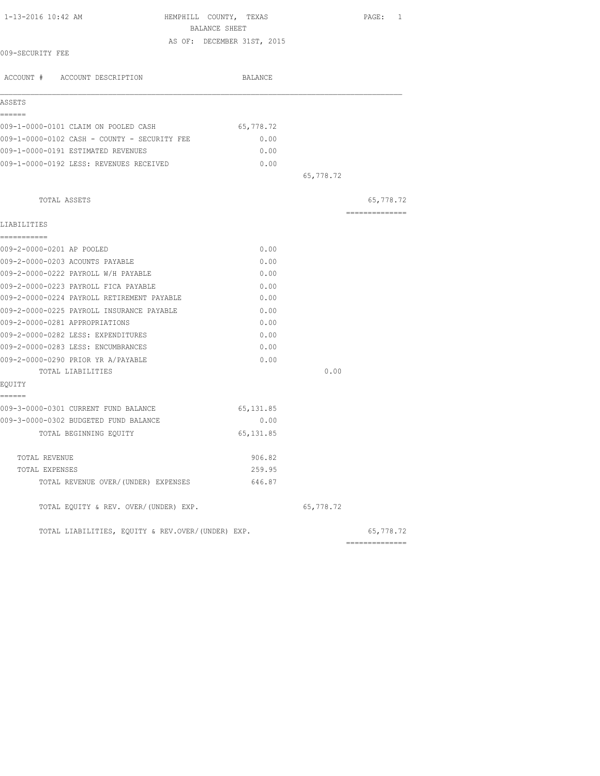| 1-13-2016 10:42 AM                                | HEMPHILL COUNTY, TEXAS<br>BALANCE SHEET | PAGE:<br>1                 |
|---------------------------------------------------|-----------------------------------------|----------------------------|
|                                                   | AS OF: DECEMBER 31ST, 2015              |                            |
| 009-SECURITY FEE                                  |                                         |                            |
| ACCOUNT # ACCOUNT DESCRIPTION                     | BALANCE                                 |                            |
| ASSETS                                            |                                         |                            |
| ------                                            |                                         |                            |
| 009-1-0000-0101 CLAIM ON POOLED CASH              | 65,778.72                               |                            |
| 009-1-0000-0102 CASH - COUNTY - SECURITY FEE      | 0.00                                    |                            |
| 009-1-0000-0191 ESTIMATED REVENUES                | 0.00                                    |                            |
| 009-1-0000-0192 LESS: REVENUES RECEIVED           | 0.00                                    |                            |
|                                                   | 65,778.72                               |                            |
| TOTAL ASSETS                                      |                                         | 65,778.72                  |
| LIABILITIES                                       |                                         | ---------------            |
| ===========                                       |                                         |                            |
| 009-2-0000-0201 AP POOLED                         | 0.00                                    |                            |
| 009-2-0000-0203 ACOUNTS PAYABLE                   | 0.00                                    |                            |
| 009-2-0000-0222 PAYROLL W/H PAYABLE               | 0.00                                    |                            |
| 009-2-0000-0223 PAYROLL FICA PAYABLE              | 0.00                                    |                            |
| 009-2-0000-0224 PAYROLL RETIREMENT PAYABLE        | 0.00                                    |                            |
| 009-2-0000-0225 PAYROLL INSURANCE PAYABLE         | 0.00                                    |                            |
| 009-2-0000-0281 APPROPRIATIONS                    | 0.00                                    |                            |
| 009-2-0000-0282 LESS: EXPENDITURES                | 0.00                                    |                            |
| 009-2-0000-0283 LESS: ENCUMBRANCES                | 0.00                                    |                            |
| 009-2-0000-0290 PRIOR YR A/PAYABLE                | 0.00                                    |                            |
| TOTAL LIABILITIES                                 | 0.00                                    |                            |
| EQUITY                                            |                                         |                            |
| ======<br>009-3-0000-0301 CURRENT FUND BALANCE    | 65,131.85                               |                            |
| 009-3-0000-0302 BUDGETED FUND BALANCE             | 0.00                                    |                            |
| TOTAL BEGINNING EQUITY                            | 65, 131.85                              |                            |
| TOTAL REVENUE                                     | 906.82                                  |                            |
| TOTAL EXPENSES                                    | 259.95                                  |                            |
| TOTAL REVENUE OVER/(UNDER) EXPENSES               | 646.87                                  |                            |
| TOTAL EQUITY & REV. OVER/(UNDER) EXP.             | 65,778.72                               |                            |
| TOTAL LIABILITIES, EQUITY & REV.OVER/(UNDER) EXP. |                                         | 65,778.72<br>------------- |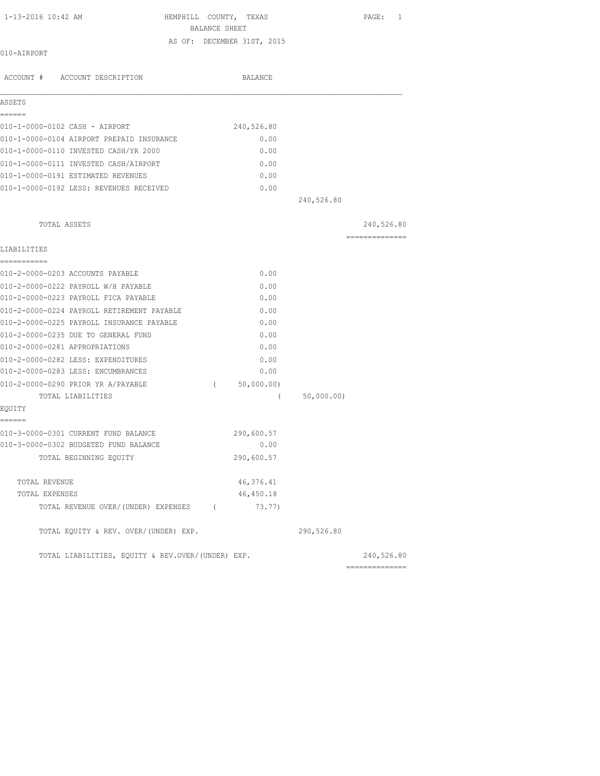| 1-13-2016 10:42 AM |  |  |  |  |  |
|--------------------|--|--|--|--|--|
|--------------------|--|--|--|--|--|

HEMPHILL COUNTY, TEXAS PAGE: 1 BALANCE SHEET

AS OF: DECEMBER 31ST, 2015

### 010-AIRPORT

| ASSETS                                            |          |            |            |                                                                                                                                                                                                                                                                                                                                                                                                                                                                                        |
|---------------------------------------------------|----------|------------|------------|----------------------------------------------------------------------------------------------------------------------------------------------------------------------------------------------------------------------------------------------------------------------------------------------------------------------------------------------------------------------------------------------------------------------------------------------------------------------------------------|
| ------                                            |          |            |            |                                                                                                                                                                                                                                                                                                                                                                                                                                                                                        |
| 010-1-0000-0102 CASH - AIRPORT                    |          | 240,526.80 |            |                                                                                                                                                                                                                                                                                                                                                                                                                                                                                        |
| 010-1-0000-0104 AIRPORT PREPAID INSURANCE         |          | 0.00       |            |                                                                                                                                                                                                                                                                                                                                                                                                                                                                                        |
| 010-1-0000-0110 INVESTED CASH/YR 2000             |          | 0.00       |            |                                                                                                                                                                                                                                                                                                                                                                                                                                                                                        |
| 010-1-0000-0111 INVESTED CASH/AIRPORT             |          | 0.00       |            |                                                                                                                                                                                                                                                                                                                                                                                                                                                                                        |
| 010-1-0000-0191 ESTIMATED REVENUES                |          | 0.00       |            |                                                                                                                                                                                                                                                                                                                                                                                                                                                                                        |
| 010-1-0000-0192 LESS: REVENUES RECEIVED           |          | 0.00       |            |                                                                                                                                                                                                                                                                                                                                                                                                                                                                                        |
|                                                   |          |            | 240,526.80 |                                                                                                                                                                                                                                                                                                                                                                                                                                                                                        |
| TOTAL ASSETS                                      |          |            |            | 240,526.80                                                                                                                                                                                                                                                                                                                                                                                                                                                                             |
| LIABILITIES                                       |          |            |            | $\begin{array}{cccccccccc} \multicolumn{2}{c}{} & \multicolumn{2}{c}{} & \multicolumn{2}{c}{} & \multicolumn{2}{c}{} & \multicolumn{2}{c}{} & \multicolumn{2}{c}{} & \multicolumn{2}{c}{} & \multicolumn{2}{c}{} & \multicolumn{2}{c}{} & \multicolumn{2}{c}{} & \multicolumn{2}{c}{} & \multicolumn{2}{c}{} & \multicolumn{2}{c}{} & \multicolumn{2}{c}{} & \multicolumn{2}{c}{} & \multicolumn{2}{c}{} & \multicolumn{2}{c}{} & \multicolumn{2}{c}{} & \multicolumn{2}{c}{} & \mult$ |
| -----------                                       |          |            |            |                                                                                                                                                                                                                                                                                                                                                                                                                                                                                        |
| 010-2-0000-0203 ACCOUNTS PAYABLE                  |          | 0.00       |            |                                                                                                                                                                                                                                                                                                                                                                                                                                                                                        |
| 010-2-0000-0222 PAYROLL W/H PAYABLE               |          | 0.00       |            |                                                                                                                                                                                                                                                                                                                                                                                                                                                                                        |
| 010-2-0000-0223 PAYROLL FICA PAYABLE              |          | 0.00       |            |                                                                                                                                                                                                                                                                                                                                                                                                                                                                                        |
| 010-2-0000-0224 PAYROLL RETIREMENT PAYABLE        |          | 0.00       |            |                                                                                                                                                                                                                                                                                                                                                                                                                                                                                        |
| 010-2-0000-0225 PAYROLL INSURANCE PAYABLE         |          | 0.00       |            |                                                                                                                                                                                                                                                                                                                                                                                                                                                                                        |
| 010-2-0000-0235 DUE TO GENERAL FUND               |          | 0.00       |            |                                                                                                                                                                                                                                                                                                                                                                                                                                                                                        |
| 010-2-0000-0281 APPROPRIATIONS                    |          | 0.00       |            |                                                                                                                                                                                                                                                                                                                                                                                                                                                                                        |
| 010-2-0000-0282 LESS: EXPENDITURES                |          | 0.00       |            |                                                                                                                                                                                                                                                                                                                                                                                                                                                                                        |
| 010-2-0000-0283 LESS: ENCUMBRANCES                |          | 0.00       |            |                                                                                                                                                                                                                                                                                                                                                                                                                                                                                        |
| 010-2-0000-0290 PRIOR YR A/PAYABLE                | $\left($ | 50,000.00) |            |                                                                                                                                                                                                                                                                                                                                                                                                                                                                                        |
| TOTAL LIABILITIES                                 |          | $\left($   | 50,000.00) |                                                                                                                                                                                                                                                                                                                                                                                                                                                                                        |
| EQUITY<br>======                                  |          |            |            |                                                                                                                                                                                                                                                                                                                                                                                                                                                                                        |
| 010-3-0000-0301 CURRENT FUND BALANCE              |          | 290,600.57 |            |                                                                                                                                                                                                                                                                                                                                                                                                                                                                                        |
| 010-3-0000-0302 BUDGETED FUND BALANCE             |          | 0.00       |            |                                                                                                                                                                                                                                                                                                                                                                                                                                                                                        |
| TOTAL BEGINNING EQUITY                            |          | 290,600.57 |            |                                                                                                                                                                                                                                                                                                                                                                                                                                                                                        |
| TOTAL REVENUE                                     |          | 46, 376.41 |            |                                                                                                                                                                                                                                                                                                                                                                                                                                                                                        |
| TOTAL EXPENSES                                    |          | 46,450.18  |            |                                                                                                                                                                                                                                                                                                                                                                                                                                                                                        |
| TOTAL REVENUE OVER/(UNDER) EXPENSES (             |          | 73.77)     |            |                                                                                                                                                                                                                                                                                                                                                                                                                                                                                        |
| TOTAL EQUITY & REV. OVER/(UNDER) EXP.             |          |            | 290,526.80 |                                                                                                                                                                                                                                                                                                                                                                                                                                                                                        |
| TOTAL LIABILITIES, EQUITY & REV.OVER/(UNDER) EXP. |          |            |            | 240,526.80                                                                                                                                                                                                                                                                                                                                                                                                                                                                             |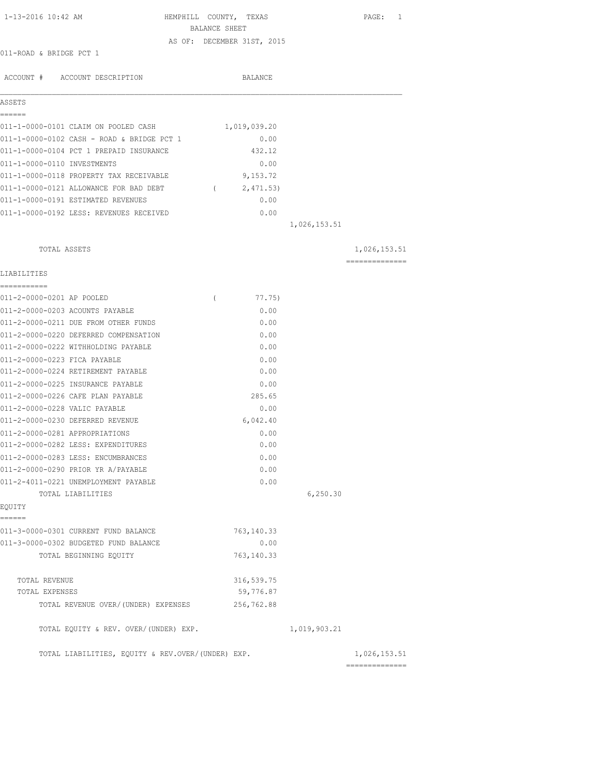| 1-13-2016 10:42 AM                                | HEMPHILL COUNTY, TEXAS                      |              | PAGE: 1         |
|---------------------------------------------------|---------------------------------------------|--------------|-----------------|
|                                                   | BALANCE SHEET<br>AS OF: DECEMBER 31ST, 2015 |              |                 |
| 011-ROAD & BRIDGE PCT 1                           |                                             |              |                 |
|                                                   |                                             |              |                 |
| ACCOUNT # ACCOUNT DESCRIPTION                     | BALANCE                                     |              |                 |
|                                                   |                                             |              |                 |
| ASSETS<br>======                                  |                                             |              |                 |
| 011-1-0000-0101 CLAIM ON POOLED CASH              | 1,019,039.20                                |              |                 |
| 011-1-0000-0102 CASH - ROAD & BRIDGE PCT 1        | 0.00                                        |              |                 |
| 011-1-0000-0104 PCT 1 PREPAID INSURANCE           | 432.12                                      |              |                 |
| 011-1-0000-0110 INVESTMENTS                       | 0.00                                        |              |                 |
| 011-1-0000-0118 PROPERTY TAX RECEIVABLE           | 9,153.72                                    |              |                 |
| 011-1-0000-0121 ALLOWANCE FOR BAD DEBT (2,471.53) |                                             |              |                 |
| 011-1-0000-0191 ESTIMATED REVENUES                | 0.00                                        |              |                 |
| 011-1-0000-0192 LESS: REVENUES RECEIVED           | 0.00                                        |              |                 |
|                                                   |                                             | 1,026,153.51 |                 |
| TOTAL ASSETS                                      |                                             |              | 1,026,153.51    |
|                                                   |                                             |              | --------------- |
| LIABILITIES<br>-----------                        |                                             |              |                 |
| 011-2-0000-0201 AP POOLED                         | $\left($<br>77.75)                          |              |                 |
| 011-2-0000-0203 ACOUNTS PAYABLE                   | 0.00                                        |              |                 |
| 011-2-0000-0211 DUE FROM OTHER FUNDS              | 0.00                                        |              |                 |
| 011-2-0000-0220 DEFERRED COMPENSATION             | 0.00                                        |              |                 |
| 011-2-0000-0222 WITHHOLDING PAYABLE               | 0.00                                        |              |                 |
| 011-2-0000-0223 FICA PAYABLE                      | 0.00                                        |              |                 |
| 011-2-0000-0224 RETIREMENT PAYABLE                | 0.00                                        |              |                 |
| 011-2-0000-0225 INSURANCE PAYABLE                 | 0.00                                        |              |                 |
| 011-2-0000-0226 CAFE PLAN PAYABLE                 | 285.65                                      |              |                 |
| 011-2-0000-0228 VALIC PAYABLE                     | 0.00                                        |              |                 |
| 011-2-0000-0230 DEFERRED REVENUE                  | 6,042.40                                    |              |                 |
| 011-2-0000-0281 APPROPRIATIONS                    | 0.00                                        |              |                 |
| 011-2-0000-0282 LESS: EXPENDITURES                | 0.00                                        |              |                 |
| 011-2-0000-0283 LESS: ENCUMBRANCES                | 0.00                                        |              |                 |
| 011-2-0000-0290 PRIOR YR A/PAYABLE                | 0.00                                        |              |                 |
| 011-2-4011-0221 UNEMPLOYMENT PAYABLE              | 0.00                                        |              |                 |
| TOTAL LIABILITIES<br>EQUITY                       |                                             | 6, 250.30    |                 |
| ======                                            |                                             |              |                 |
| 011-3-0000-0301 CURRENT FUND BALANCE              | 763, 140.33                                 |              |                 |
| 011-3-0000-0302 BUDGETED FUND BALANCE             | 0.00                                        |              |                 |
| TOTAL BEGINNING EQUITY                            | 763, 140.33                                 |              |                 |
| TOTAL REVENUE                                     | 316, 539.75                                 |              |                 |
| TOTAL EXPENSES                                    | 59,776.87                                   |              |                 |
| TOTAL REVENUE OVER/(UNDER) EXPENSES               | 256,762.88                                  |              |                 |
| TOTAL EQUITY & REV. OVER/(UNDER) EXP.             |                                             | 1,019,903.21 |                 |
| TOTAL LIABILITIES, EQUITY & REV.OVER/(UNDER) EXP. |                                             |              | 1,026,153.51    |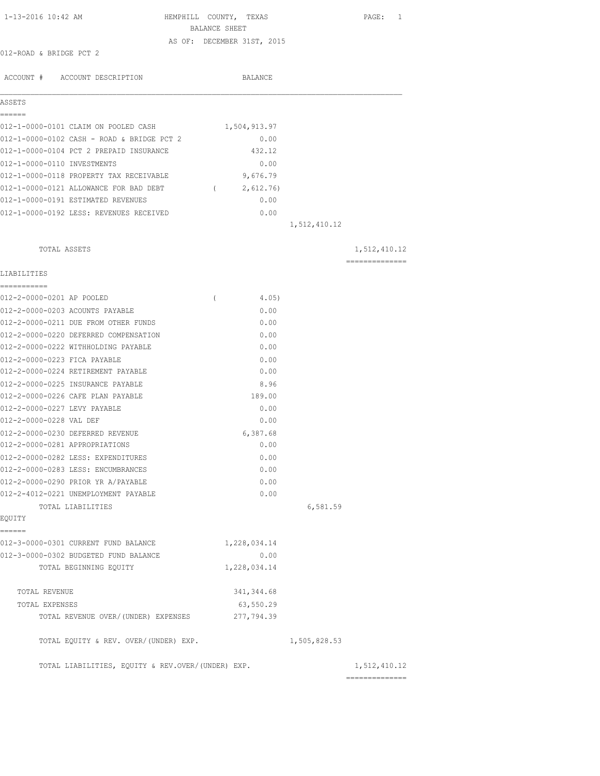| 1-13-2016 10:42 AM                                | HEMPHILL COUNTY, TEXAS                      |              | PAGE: 1                        |
|---------------------------------------------------|---------------------------------------------|--------------|--------------------------------|
|                                                   | BALANCE SHEET<br>AS OF: DECEMBER 31ST, 2015 |              |                                |
| 012-ROAD & BRIDGE PCT 2                           |                                             |              |                                |
|                                                   |                                             |              |                                |
| ACCOUNT # ACCOUNT DESCRIPTION                     | BALANCE                                     |              |                                |
| ASSETS                                            |                                             |              |                                |
| ------                                            |                                             |              |                                |
| 012-1-0000-0101 CLAIM ON POOLED CASH              | 1,504,913.97                                |              |                                |
| 012-1-0000-0102 CASH - ROAD & BRIDGE PCT 2        | 0.00                                        |              |                                |
| 012-1-0000-0104 PCT 2 PREPAID INSURANCE           | 432.12                                      |              |                                |
| 012-1-0000-0110 INVESTMENTS                       | 0.00                                        |              |                                |
| 012-1-0000-0118 PROPERTY TAX RECEIVABLE           | 9,676.79                                    |              |                                |
| 012-1-0000-0121 ALLOWANCE FOR BAD DEBT (2,612.76) |                                             |              |                                |
| 012-1-0000-0191 ESTIMATED REVENUES                | 0.00                                        |              |                                |
| 012-1-0000-0192 LESS: REVENUES RECEIVED           | 0.00                                        |              |                                |
|                                                   |                                             | 1,512,410.12 |                                |
| TOTAL ASSETS                                      |                                             |              | 1,512,410.12                   |
| LIABILITIES                                       |                                             |              | ---------------                |
| ===========                                       |                                             |              |                                |
| 012-2-0000-0201 AP POOLED                         | $\left($<br>4.05)                           |              |                                |
| 012-2-0000-0203 ACOUNTS PAYABLE                   | 0.00                                        |              |                                |
| 012-2-0000-0211 DUE FROM OTHER FUNDS              | 0.00                                        |              |                                |
| 012-2-0000-0220 DEFERRED COMPENSATION             | 0.00                                        |              |                                |
| 012-2-0000-0222 WITHHOLDING PAYABLE               | 0.00                                        |              |                                |
| 012-2-0000-0223 FICA PAYABLE                      | 0.00                                        |              |                                |
| 012-2-0000-0224 RETIREMENT PAYABLE                | 0.00                                        |              |                                |
| 012-2-0000-0225 INSURANCE PAYABLE                 | 8.96                                        |              |                                |
| 012-2-0000-0226 CAFE PLAN PAYABLE                 | 189.00                                      |              |                                |
| 012-2-0000-0227 LEVY PAYABLE                      | 0.00                                        |              |                                |
| 012-2-0000-0228 VAL DEF                           | 0.00                                        |              |                                |
| 012-2-0000-0230 DEFERRED REVENUE                  | 6,387.68                                    |              |                                |
| 012-2-0000-0281 APPROPRIATIONS                    | 0.00                                        |              |                                |
| 012-2-0000-0282 LESS: EXPENDITURES                | 0.00                                        |              |                                |
| 012-2-0000-0283 LESS: ENCUMBRANCES                | 0.00                                        |              |                                |
| 012-2-0000-0290 PRIOR YR A/PAYABLE                | 0.00                                        |              |                                |
| 012-2-4012-0221 UNEMPLOYMENT PAYABLE              | 0.00                                        |              |                                |
| TOTAL LIABILITIES                                 |                                             | 6,581.59     |                                |
| EQUITY<br>------                                  |                                             |              |                                |
| 012-3-0000-0301 CURRENT FUND BALANCE              | 1,228,034.14                                |              |                                |
| 012-3-0000-0302 BUDGETED FUND BALANCE             | 0.00                                        |              |                                |
| TOTAL BEGINNING EQUITY                            | 1,228,034.14                                |              |                                |
| TOTAL REVENUE                                     | 341, 344.68                                 |              |                                |
| TOTAL EXPENSES                                    | 63,550.29                                   |              |                                |
| TOTAL REVENUE OVER/(UNDER) EXPENSES               | 277,794.39                                  |              |                                |
| TOTAL EQUITY & REV. OVER/(UNDER) EXP.             |                                             | 1,505,828.53 |                                |
| TOTAL LIABILITIES, EQUITY & REV.OVER/(UNDER) EXP. |                                             |              | 1,512,410.12<br>============== |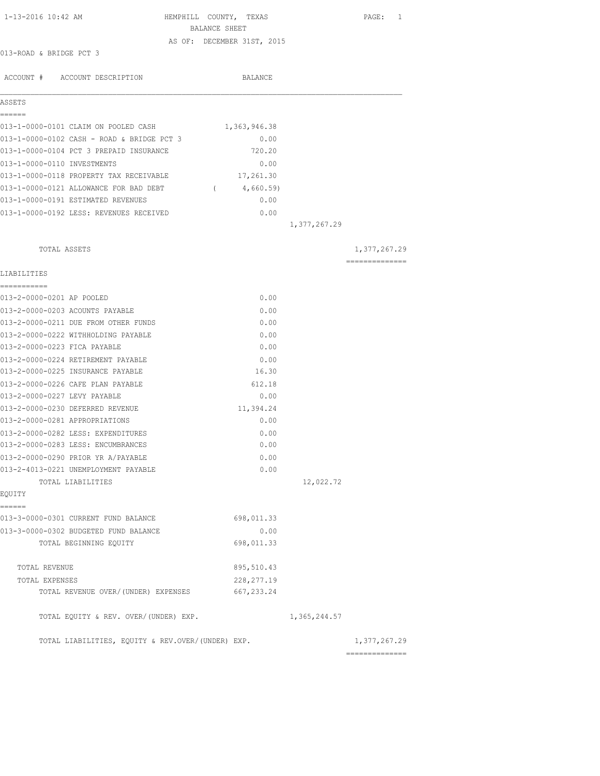| 1-13-2016 10:42 AM                                | HEMPHILL COUNTY, TEXAS                      |              | PAGE: 1                        |
|---------------------------------------------------|---------------------------------------------|--------------|--------------------------------|
|                                                   | BALANCE SHEET<br>AS OF: DECEMBER 31ST, 2015 |              |                                |
| 013-ROAD & BRIDGE PCT 3                           |                                             |              |                                |
|                                                   |                                             |              |                                |
| ACCOUNT # ACCOUNT DESCRIPTION                     | BALANCE                                     |              |                                |
| ASSETS                                            |                                             |              |                                |
| ======<br>013-1-0000-0101 CLAIM ON POOLED CASH    | 1,363,946.38                                |              |                                |
| 013-1-0000-0102 CASH - ROAD & BRIDGE PCT 3        | 0.00                                        |              |                                |
| 013-1-0000-0104 PCT 3 PREPAID INSURANCE           | 720.20                                      |              |                                |
| 013-1-0000-0110 INVESTMENTS                       | 0.00                                        |              |                                |
| 013-1-0000-0118 PROPERTY TAX RECEIVABLE           | 17,261.30                                   |              |                                |
| 013-1-0000-0121 ALLOWANCE FOR BAD DEBT            | (4,660.59)                                  |              |                                |
| 013-1-0000-0191 ESTIMATED REVENUES                | 0.00                                        |              |                                |
| 013-1-0000-0192 LESS: REVENUES RECEIVED           | 0.00                                        |              |                                |
|                                                   |                                             | 1,377,267.29 |                                |
|                                                   |                                             |              |                                |
| TOTAL ASSETS                                      |                                             |              | 1,377,267.29<br>-------------- |
| LIABILITIES                                       |                                             |              |                                |
| ===========<br>013-2-0000-0201 AP POOLED          | 0.00                                        |              |                                |
| 013-2-0000-0203 ACOUNTS PAYABLE                   | 0.00                                        |              |                                |
| 013-2-0000-0211 DUE FROM OTHER FUNDS              | 0.00                                        |              |                                |
| 013-2-0000-0222 WITHHOLDING PAYABLE               | 0.00                                        |              |                                |
| 013-2-0000-0223 FICA PAYABLE                      | 0.00                                        |              |                                |
| 013-2-0000-0224 RETIREMENT PAYABLE                | 0.00                                        |              |                                |
| 013-2-0000-0225 INSURANCE PAYABLE                 | 16.30                                       |              |                                |
| 013-2-0000-0226 CAFE PLAN PAYABLE                 | 612.18                                      |              |                                |
| 013-2-0000-0227 LEVY PAYABLE                      | 0.00                                        |              |                                |
| 013-2-0000-0230 DEFERRED REVENUE                  | 11,394.24                                   |              |                                |
| 013-2-0000-0281 APPROPRIATIONS                    | 0.00                                        |              |                                |
| 013-2-0000-0282 LESS: EXPENDITURES                | 0.00                                        |              |                                |
| 013-2-0000-0283 LESS: ENCUMBRANCES                | 0.00                                        |              |                                |
| 013-2-0000-0290 PRIOR YR A/PAYABLE                | 0.00                                        |              |                                |
| 013-2-4013-0221 UNEMPLOYMENT PAYABLE              | 0.00                                        |              |                                |
| TOTAL LIABILITIES                                 |                                             | 12,022.72    |                                |
| EQUITY                                            |                                             |              |                                |
| ======                                            |                                             |              |                                |
| 013-3-0000-0301 CURRENT FUND BALANCE              | 698,011.33                                  |              |                                |
| 013-3-0000-0302 BUDGETED FUND BALANCE             | 0.00                                        |              |                                |
| TOTAL BEGINNING EQUITY                            | 698,011.33                                  |              |                                |
| TOTAL REVENUE                                     | 895,510.43                                  |              |                                |
| TOTAL EXPENSES                                    | 228, 277.19                                 |              |                                |
| TOTAL REVENUE OVER/ (UNDER) EXPENSES              | 667, 233.24                                 |              |                                |
| TOTAL EQUITY & REV. OVER/(UNDER) EXP.             |                                             | 1,365,244.57 |                                |
| TOTAL LIABILITIES, EQUITY & REV.OVER/(UNDER) EXP. |                                             |              | 1,377,267.29                   |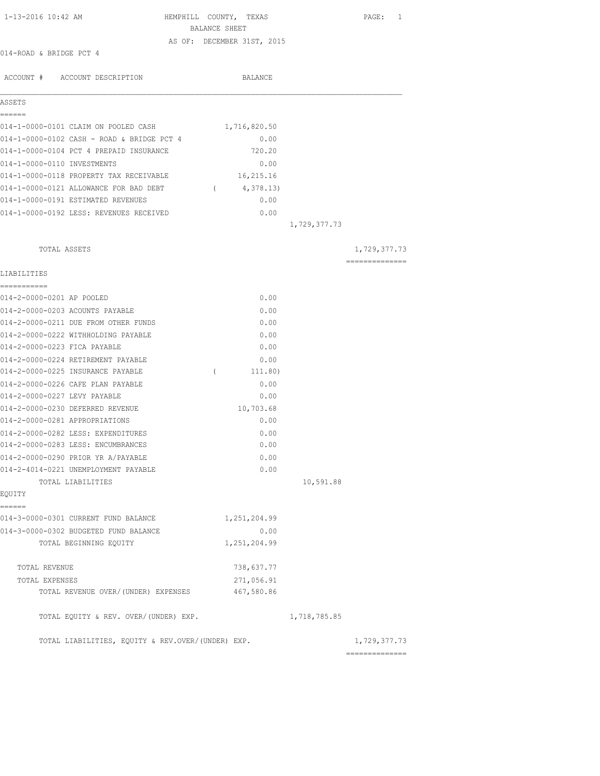| 1-13-2016 10:42 AM                                | HEMPHILL COUNTY, TEXAS            | PAGE: 1        |
|---------------------------------------------------|-----------------------------------|----------------|
|                                                   | BALANCE SHEET                     |                |
|                                                   | AS OF: DECEMBER 31ST, 2015        |                |
| 014-ROAD & BRIDGE PCT 4                           |                                   |                |
|                                                   | BALANCE                           |                |
| ACCOUNT # ACCOUNT DESCRIPTION                     |                                   |                |
| ASSETS                                            |                                   |                |
| ======                                            |                                   |                |
| 014-1-0000-0101 CLAIM ON POOLED CASH              | 1,716,820.50                      |                |
| 014-1-0000-0102 CASH - ROAD & BRIDGE PCT 4        | 0.00                              |                |
| 014-1-0000-0104 PCT 4 PREPAID INSURANCE           | 720.20                            |                |
| 014-1-0000-0110 INVESTMENTS                       | 0.00                              |                |
| 014-1-0000-0118 PROPERTY TAX RECEIVABLE           | 16,215.16                         |                |
| 014-1-0000-0121 ALLOWANCE FOR BAD DEBT            | 4,378.13)<br>$\sim$ $\sim$ $\sim$ |                |
| 014-1-0000-0191 ESTIMATED REVENUES                | 0.00                              |                |
| 014-1-0000-0192 LESS: REVENUES RECEIVED           | 0.00                              |                |
|                                                   | 1,729,377.73                      |                |
|                                                   |                                   |                |
| TOTAL ASSETS                                      |                                   | 1,729,377.73   |
|                                                   |                                   | ============== |
| LIABILITIES                                       |                                   |                |
| ------------<br>014-2-0000-0201 AP POOLED         | 0.00                              |                |
| 014-2-0000-0203 ACOUNTS PAYABLE                   | 0.00                              |                |
| 014-2-0000-0211 DUE FROM OTHER FUNDS              | 0.00                              |                |
| 014-2-0000-0222 WITHHOLDING PAYABLE               | 0.00                              |                |
| 014-2-0000-0223 FICA PAYABLE                      | 0.00                              |                |
| 014-2-0000-0224 RETIREMENT PAYABLE                | 0.00                              |                |
| 014-2-0000-0225 INSURANCE PAYABLE                 | $\left($<br>111.80)               |                |
| 014-2-0000-0226 CAFE PLAN PAYABLE                 | 0.00                              |                |
| 014-2-0000-0227 LEVY PAYABLE                      | 0.00                              |                |
| 014-2-0000-0230 DEFERRED REVENUE                  | 10,703.68                         |                |
| 014-2-0000-0281 APPROPRIATIONS                    | 0.00                              |                |
| 014-2-0000-0282 LESS: EXPENDITURES                | 0.00                              |                |
| 014-2-0000-0283 LESS: ENCUMBRANCES                | 0.00                              |                |
| 014-2-0000-0290 PRIOR YR A/PAYABLE                | 0.00                              |                |
| 014-2-4014-0221 UNEMPLOYMENT PAYABLE              | 0.00                              |                |
| TOTAL LIABILITIES                                 | 10,591.88                         |                |
| EQUITY                                            |                                   |                |
| ======<br>014-3-0000-0301 CURRENT FUND BALANCE    | 1,251,204.99                      |                |
| 014-3-0000-0302 BUDGETED FUND BALANCE             | 0.00                              |                |
| TOTAL BEGINNING EQUITY                            | 1,251,204.99                      |                |
|                                                   |                                   |                |
| TOTAL REVENUE                                     | 738,637.77                        |                |
| TOTAL EXPENSES                                    | 271,056.91                        |                |
| TOTAL REVENUE OVER/(UNDER) EXPENSES               | 467,580.86                        |                |
| TOTAL EQUITY & REV. OVER/(UNDER) EXP.             | 1,718,785.85                      |                |
| TOTAL LIABILITIES, EQUITY & REV.OVER/(UNDER) EXP. |                                   | 1,729,377.73   |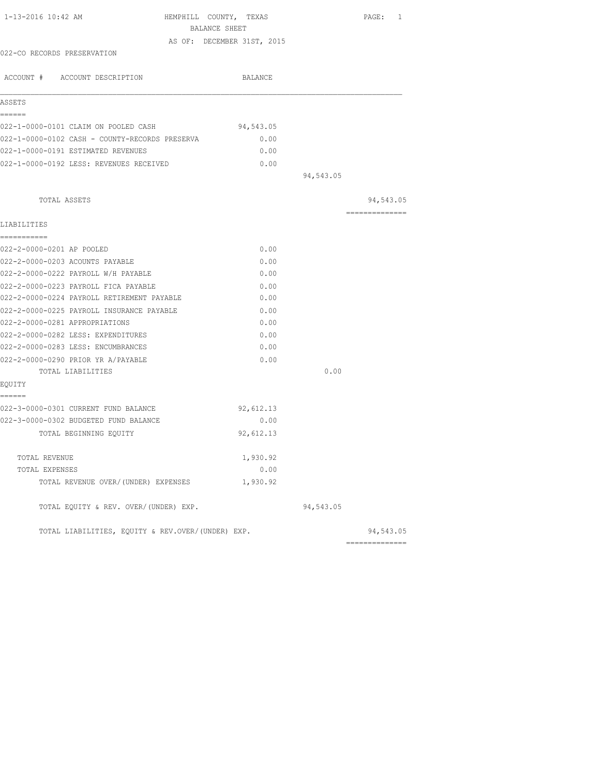| 1-13-2016 10:42 AM<br>HEMPHILL COUNTY, TEXAS      |           |           | PAGE: 1         |
|---------------------------------------------------|-----------|-----------|-----------------|
| BALANCE SHEET                                     |           |           |                 |
| AS OF: DECEMBER 31ST, 2015                        |           |           |                 |
| 022-CO RECORDS PRESERVATION                       |           |           |                 |
| ACCOUNT # ACCOUNT DESCRIPTION                     | BALANCE   |           |                 |
| ASSETS                                            |           |           |                 |
| ======<br>022-1-0000-0101 CLAIM ON POOLED CASH    | 94,543.05 |           |                 |
| 022-1-0000-0102 CASH - COUNTY-RECORDS PRESERVA    | 0.00      |           |                 |
| 022-1-0000-0191 ESTIMATED REVENUES                | 0.00      |           |                 |
| 022-1-0000-0192 LESS: REVENUES RECEIVED           | 0.00      |           |                 |
|                                                   |           | 94,543.05 |                 |
| TOTAL ASSETS                                      |           |           | 94,543.05       |
| LIABILITIES                                       |           |           | --------------- |
| ===========                                       |           |           |                 |
| 022-2-0000-0201 AP POOLED                         | 0.00      |           |                 |
| 022-2-0000-0203 ACOUNTS PAYABLE                   | 0.00      |           |                 |
| 022-2-0000-0222 PAYROLL W/H PAYABLE               | 0.00      |           |                 |
| 022-2-0000-0223 PAYROLL FICA PAYABLE              | 0.00      |           |                 |
| 022-2-0000-0224 PAYROLL RETIREMENT PAYABLE        | 0.00      |           |                 |
| 022-2-0000-0225 PAYROLL INSURANCE PAYABLE         | 0.00      |           |                 |
| 022-2-0000-0281 APPROPRIATIONS                    | 0.00      |           |                 |
| 022-2-0000-0282 LESS: EXPENDITURES                | 0.00      |           |                 |
| 022-2-0000-0283 LESS: ENCUMBRANCES                | 0.00      |           |                 |
| 022-2-0000-0290 PRIOR YR A/PAYABLE                | 0.00      |           |                 |
| TOTAL LIABILITIES                                 |           | 0.00      |                 |
| EOUITY                                            |           |           |                 |
| ------<br>022-3-0000-0301 CURRENT FUND BALANCE    | 92,612.13 |           |                 |
| 022-3-0000-0302 BUDGETED FUND BALANCE             | 0.00      |           |                 |
| TOTAL BEGINNING EOUITY                            | 92,612.13 |           |                 |
|                                                   |           |           |                 |
| TOTAL REVENUE                                     | 1,930.92  |           |                 |
| TOTAL EXPENSES                                    | 0.00      |           |                 |
| TOTAL REVENUE OVER/(UNDER) EXPENSES               | 1,930.92  |           |                 |
| TOTAL EQUITY & REV. OVER/(UNDER) EXP.             |           | 94,543.05 |                 |
| TOTAL LIABILITIES, EQUITY & REV.OVER/(UNDER) EXP. |           |           | 94,543.05       |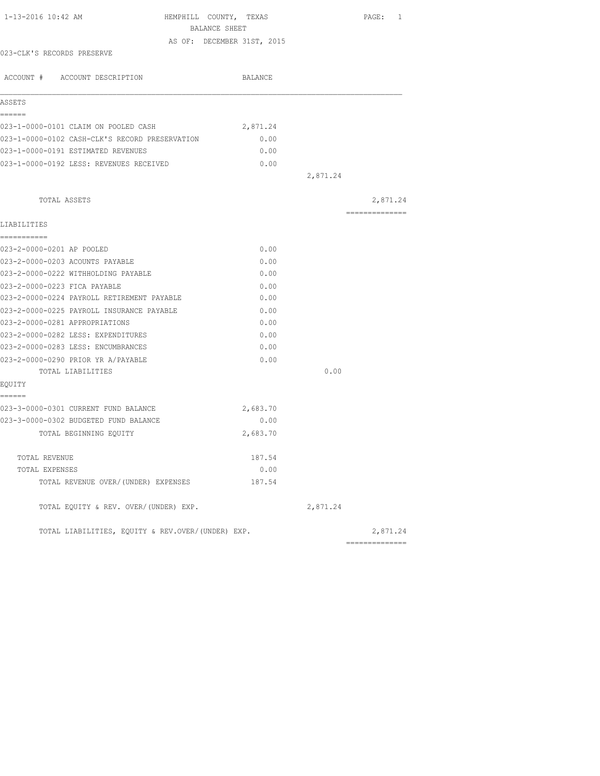|                                                                                                                                                                                                                                                                                                    |                                                                                         |               |                                                                                                                                                                                                                                                 | PAGE: 1                                           |
|----------------------------------------------------------------------------------------------------------------------------------------------------------------------------------------------------------------------------------------------------------------------------------------------------|-----------------------------------------------------------------------------------------|---------------|-------------------------------------------------------------------------------------------------------------------------------------------------------------------------------------------------------------------------------------------------|---------------------------------------------------|
|                                                                                                                                                                                                                                                                                                    |                                                                                         |               |                                                                                                                                                                                                                                                 |                                                   |
|                                                                                                                                                                                                                                                                                                    |                                                                                         |               |                                                                                                                                                                                                                                                 |                                                   |
|                                                                                                                                                                                                                                                                                                    |                                                                                         |               |                                                                                                                                                                                                                                                 |                                                   |
|                                                                                                                                                                                                                                                                                                    |                                                                                         |               |                                                                                                                                                                                                                                                 |                                                   |
|                                                                                                                                                                                                                                                                                                    |                                                                                         |               |                                                                                                                                                                                                                                                 |                                                   |
|                                                                                                                                                                                                                                                                                                    |                                                                                         |               |                                                                                                                                                                                                                                                 |                                                   |
|                                                                                                                                                                                                                                                                                                    |                                                                                         |               |                                                                                                                                                                                                                                                 |                                                   |
|                                                                                                                                                                                                                                                                                                    |                                                                                         |               |                                                                                                                                                                                                                                                 |                                                   |
|                                                                                                                                                                                                                                                                                                    |                                                                                         |               |                                                                                                                                                                                                                                                 |                                                   |
|                                                                                                                                                                                                                                                                                                    |                                                                                         |               |                                                                                                                                                                                                                                                 |                                                   |
|                                                                                                                                                                                                                                                                                                    |                                                                                         |               | 2,871.24                                                                                                                                                                                                                                        |                                                   |
|                                                                                                                                                                                                                                                                                                    |                                                                                         |               |                                                                                                                                                                                                                                                 | 2,871.24                                          |
|                                                                                                                                                                                                                                                                                                    |                                                                                         |               |                                                                                                                                                                                                                                                 | ---------------                                   |
|                                                                                                                                                                                                                                                                                                    |                                                                                         |               |                                                                                                                                                                                                                                                 |                                                   |
|                                                                                                                                                                                                                                                                                                    |                                                                                         |               |                                                                                                                                                                                                                                                 |                                                   |
|                                                                                                                                                                                                                                                                                                    |                                                                                         |               |                                                                                                                                                                                                                                                 |                                                   |
|                                                                                                                                                                                                                                                                                                    |                                                                                         |               |                                                                                                                                                                                                                                                 |                                                   |
|                                                                                                                                                                                                                                                                                                    |                                                                                         |               |                                                                                                                                                                                                                                                 |                                                   |
|                                                                                                                                                                                                                                                                                                    |                                                                                         |               |                                                                                                                                                                                                                                                 |                                                   |
|                                                                                                                                                                                                                                                                                                    |                                                                                         |               |                                                                                                                                                                                                                                                 |                                                   |
|                                                                                                                                                                                                                                                                                                    |                                                                                         |               |                                                                                                                                                                                                                                                 |                                                   |
|                                                                                                                                                                                                                                                                                                    |                                                                                         |               |                                                                                                                                                                                                                                                 |                                                   |
|                                                                                                                                                                                                                                                                                                    |                                                                                         |               |                                                                                                                                                                                                                                                 |                                                   |
|                                                                                                                                                                                                                                                                                                    |                                                                                         |               |                                                                                                                                                                                                                                                 |                                                   |
|                                                                                                                                                                                                                                                                                                    |                                                                                         |               | 0.00                                                                                                                                                                                                                                            |                                                   |
|                                                                                                                                                                                                                                                                                                    |                                                                                         |               |                                                                                                                                                                                                                                                 |                                                   |
|                                                                                                                                                                                                                                                                                                    |                                                                                         |               |                                                                                                                                                                                                                                                 |                                                   |
|                                                                                                                                                                                                                                                                                                    |                                                                                         |               |                                                                                                                                                                                                                                                 |                                                   |
|                                                                                                                                                                                                                                                                                                    |                                                                                         |               |                                                                                                                                                                                                                                                 |                                                   |
|                                                                                                                                                                                                                                                                                                    |                                                                                         |               |                                                                                                                                                                                                                                                 |                                                   |
|                                                                                                                                                                                                                                                                                                    |                                                                                         |               |                                                                                                                                                                                                                                                 |                                                   |
|                                                                                                                                                                                                                                                                                                    |                                                                                         |               |                                                                                                                                                                                                                                                 |                                                   |
|                                                                                                                                                                                                                                                                                                    |                                                                                         |               | 2,871.24                                                                                                                                                                                                                                        |                                                   |
|                                                                                                                                                                                                                                                                                                    |                                                                                         |               |                                                                                                                                                                                                                                                 | 2,871.24                                          |
| 023-1-0000-0101 CLAIM ON POOLED CASH<br>023-1-0000-0192 LESS: REVENUES RECEIVED<br>023-2-0000-0224 PAYROLL RETIREMENT PAYABLE<br>023-2-0000-0225 PAYROLL INSURANCE PAYABLE<br>023-3-0000-0301 CURRENT FUND BALANCE<br>023-3-0000-0302 BUDGETED FUND BALANCE<br>TOTAL REVENUE OVER/(UNDER) EXPENSES | 023-1-0000-0102 CASH-CLK'S RECORD PRESERVATION<br>TOTAL EQUITY & REV. OVER/(UNDER) EXP. | BALANCE SHEET | HEMPHILL COUNTY, TEXAS<br>AS OF: DECEMBER 31ST, 2015<br>BALANCE<br>2,871.24<br>0.00<br>0.00<br>0.00<br>0.00<br>0.00<br>0.00<br>0.00<br>0.00<br>0.00<br>0.00<br>0.00<br>0.00<br>0.00<br>2,683.70<br>0.00<br>2,683.70<br>187.54<br>0.00<br>187.54 | TOTAL LIABILITIES, EQUITY & REV.OVER/(UNDER) EXP. |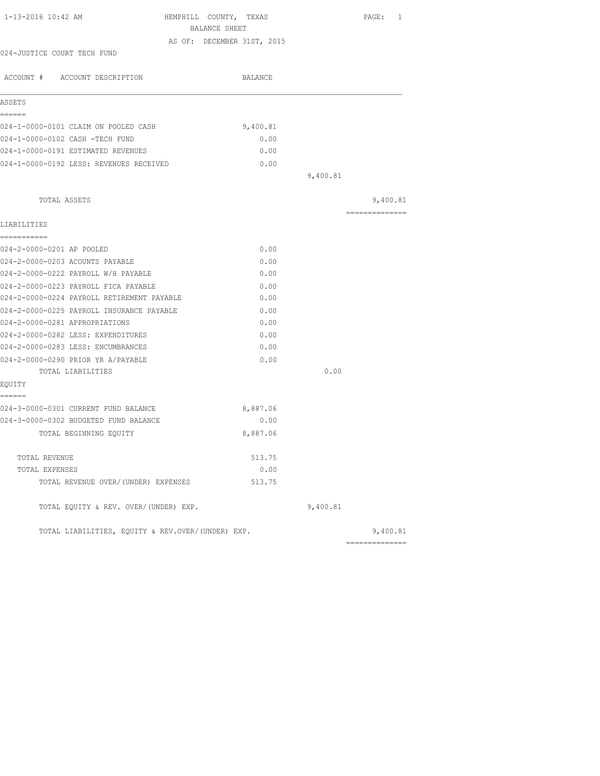|                                                   |          |          | PAGE: 1        |
|---------------------------------------------------|----------|----------|----------------|
| BALANCE SHEET                                     |          |          |                |
| AS OF: DECEMBER 31ST, 2015                        |          |          |                |
| 024-JUSTICE COURT TECH FUND                       |          |          |                |
| ACCOUNT # ACCOUNT DESCRIPTION                     | BALANCE  |          |                |
| ASSETS                                            |          |          |                |
| ------                                            |          |          |                |
| 024-1-0000-0101 CLAIM ON POOLED CASH              | 9,400.81 |          |                |
| 024-1-0000-0102 CASH -TECH FUND                   | 0.00     |          |                |
| 024-1-0000-0191 ESTIMATED REVENUES                | 0.00     |          |                |
| 024-1-0000-0192 LESS: REVENUES RECEIVED           | 0.00     |          |                |
|                                                   |          | 9,400.81 |                |
| TOTAL ASSETS                                      |          |          | 9,400.81       |
|                                                   |          |          | ============== |
| LIABILITIES<br>===========                        |          |          |                |
| 024-2-0000-0201 AP POOLED                         | 0.00     |          |                |
| 024-2-0000-0203 ACOUNTS PAYABLE                   | 0.00     |          |                |
| 024-2-0000-0222 PAYROLL W/H PAYABLE               | 0.00     |          |                |
| 024-2-0000-0223 PAYROLL FICA PAYABLE              | 0.00     |          |                |
| 024-2-0000-0224 PAYROLL RETIREMENT PAYABLE        | 0.00     |          |                |
| 024-2-0000-0225 PAYROLL INSURANCE PAYABLE         | 0.00     |          |                |
| 024-2-0000-0281 APPROPRIATIONS                    | 0.00     |          |                |
| 024-2-0000-0282 LESS: EXPENDITURES                | 0.00     |          |                |
| 024-2-0000-0283 LESS: ENCUMBRANCES                | 0.00     |          |                |
| 024-2-0000-0290 PRIOR YR A/PAYABLE                | 0.00     |          |                |
| TOTAL LIABILITIES                                 |          | 0.00     |                |
| EQUITY                                            |          |          |                |
| ======<br>024-3-0000-0301 CURRENT FUND BALANCE    | 8,887.06 |          |                |
| 024-3-0000-0302 BUDGETED FUND BALANCE             | 0.00     |          |                |
| TOTAL BEGINNING EQUITY                            | 8,887.06 |          |                |
| TOTAL REVENUE                                     | 513.75   |          |                |
| TOTAL EXPENSES                                    | 0.00     |          |                |
| TOTAL REVENUE OVER/(UNDER) EXPENSES               | 513.75   |          |                |
| TOTAL EQUITY & REV. OVER/(UNDER) EXP.             |          | 9,400.81 |                |
| TOTAL LIABILITIES, EQUITY & REV.OVER/(UNDER) EXP. |          |          | 9,400.81       |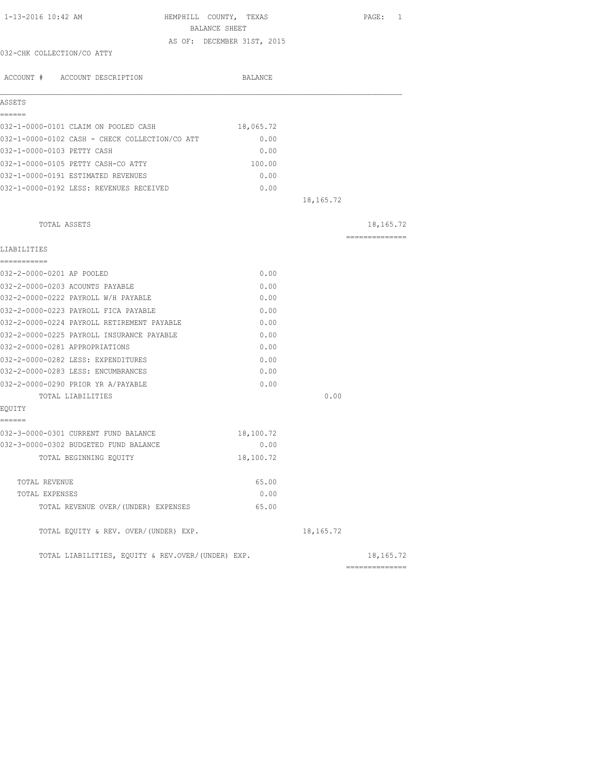| 1-13-2016 10:42 AM                                | HEMPHILL COUNTY, TEXAS<br>BALANCE SHEET |             | PAGE: 1        |
|---------------------------------------------------|-----------------------------------------|-------------|----------------|
|                                                   | AS OF: DECEMBER 31ST, 2015              |             |                |
| 032-CHK COLLECTION/CO ATTY                        |                                         |             |                |
| ACCOUNT # ACCOUNT DESCRIPTION                     | BALANCE                                 |             |                |
| ASSETS                                            |                                         |             |                |
| ======                                            |                                         |             |                |
| 032-1-0000-0101 CLAIM ON POOLED CASH              | 18,065.72                               |             |                |
| 032-1-0000-0102 CASH - CHECK COLLECTION/CO ATT    | 0.00                                    |             |                |
| 032-1-0000-0103 PETTY CASH                        | 0.00                                    |             |                |
| 032-1-0000-0105 PETTY CASH-CO ATTY                | 100.00                                  |             |                |
| 032-1-0000-0191 ESTIMATED REVENUES                | 0.00                                    |             |                |
| 032-1-0000-0192 LESS: REVENUES RECEIVED           | 0.00                                    |             |                |
|                                                   |                                         | 18, 165. 72 |                |
| TOTAL ASSETS                                      |                                         |             | 18,165.72      |
|                                                   |                                         |             | ============== |
| LIABILITIES                                       |                                         |             |                |
| -----------                                       |                                         |             |                |
| 032-2-0000-0201 AP POOLED                         | 0.00                                    |             |                |
| 032-2-0000-0203 ACOUNTS PAYABLE                   | 0.00                                    |             |                |
| 032-2-0000-0222 PAYROLL W/H PAYABLE               | 0.00                                    |             |                |
| 032-2-0000-0223 PAYROLL FICA PAYABLE              | 0.00                                    |             |                |
| 032-2-0000-0224 PAYROLL RETIREMENT PAYABLE        | 0.00                                    |             |                |
| 032-2-0000-0225 PAYROLL INSURANCE PAYABLE         | 0.00                                    |             |                |
| 032-2-0000-0281 APPROPRIATIONS                    | 0.00                                    |             |                |
| 032-2-0000-0282 LESS: EXPENDITURES                | 0.00                                    |             |                |
| 032-2-0000-0283 LESS: ENCUMBRANCES                | 0.00                                    |             |                |
| 032-2-0000-0290 PRIOR YR A/PAYABLE                | 0.00                                    |             |                |
| TOTAL LIABILITIES                                 |                                         | 0.00        |                |
| EQUITY                                            |                                         |             |                |
| ======                                            |                                         |             |                |
| 032-3-0000-0301 CURRENT FUND BALANCE              | 18,100.72                               |             |                |
| 032-3-0000-0302 BUDGETED FUND BALANCE             | 0.00                                    |             |                |
| TOTAL BEGINNING EQUITY                            | 18,100.72                               |             |                |
| TOTAL REVENUE                                     | 65.00                                   |             |                |
| TOTAL EXPENSES                                    | 0.00                                    |             |                |
| TOTAL REVENUE OVER/(UNDER) EXPENSES               | 65.00                                   |             |                |
| TOTAL EQUITY & REV. OVER/(UNDER) EXP.             |                                         | 18, 165. 72 |                |
| TOTAL LIABILITIES, EOUITY & REV.OVER/(UNDER) EXP. |                                         |             | 18, 165. 72    |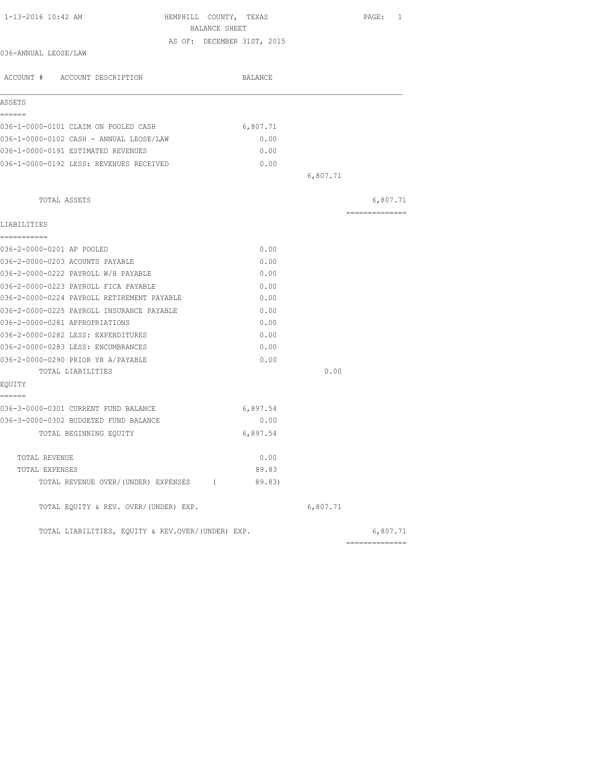| 1-13-2016 10:42 AM                                | HEMPHILL COUNTY, TEXAS<br>BALANCE SHEET | PAGE: 1        |
|---------------------------------------------------|-----------------------------------------|----------------|
|                                                   | AS OF: DECEMBER 31ST, 2015              |                |
| 036-ANNUAL LEOSE/LAW                              |                                         |                |
| ACCOUNT # ACCOUNT DESCRIPTION                     | BALANCE                                 |                |
| ASSETS                                            |                                         |                |
| ------                                            |                                         |                |
| 036-1-0000-0101 CLAIM ON POOLED CASH              | 6,807.71                                |                |
| 036-1-0000-0102 CASH - ANNUAL LEOSE/LAW           | 0.00                                    |                |
| 036-1-0000-0191 ESTIMATED REVENUES                | 0.00                                    |                |
| 036-1-0000-0192 LESS: REVENUES RECEIVED           | 0.00                                    |                |
|                                                   |                                         | 6,807.71       |
| TOTAL ASSETS                                      |                                         | 6,807.71       |
|                                                   |                                         | ============== |
| LIABILITIES                                       |                                         |                |
| ===========                                       |                                         |                |
| 036-2-0000-0201 AP POOLED                         | 0.00                                    |                |
| 036-2-0000-0203 ACOUNTS PAYABLE                   | 0.00                                    |                |
| 036-2-0000-0222 PAYROLL W/H PAYABLE               | 0.00                                    |                |
| 036-2-0000-0223 PAYROLL FICA PAYABLE              | 0.00                                    |                |
| 036-2-0000-0224 PAYROLL RETIREMENT PAYABLE        | 0.00                                    |                |
| 036-2-0000-0225 PAYROLL INSURANCE PAYABLE         | 0.00                                    |                |
| 036-2-0000-0281 APPROPRIATIONS                    | 0.00                                    |                |
| 036-2-0000-0282 LESS: EXPENDITURES                | 0.00                                    |                |
| 036-2-0000-0283 LESS: ENCUMBRANCES                | 0.00                                    |                |
| 036-2-0000-0290 PRIOR YR A/PAYABLE                | 0.00                                    |                |
| TOTAL LIABILITIES                                 |                                         | 0.00           |
| EQUITY<br>------                                  |                                         |                |
| 036-3-0000-0301 CURRENT FUND BALANCE              | 6,897.54                                |                |
| 036-3-0000-0302 BUDGETED FUND BALANCE             | 0.00                                    |                |
| TOTAL BEGINNING EQUITY                            | 6,897.54                                |                |
| TOTAL REVENUE                                     | 0.00                                    |                |
| TOTAL EXPENSES                                    | 89.83                                   |                |
| TOTAL REVENUE OVER/(UNDER) EXPENSES (             | 89.83)                                  |                |
| TOTAL EQUITY & REV. OVER/(UNDER) EXP.             |                                         | 6,807.71       |
| TOTAL LIABILITIES, EQUITY & REV.OVER/(UNDER) EXP. |                                         | 6,807.71       |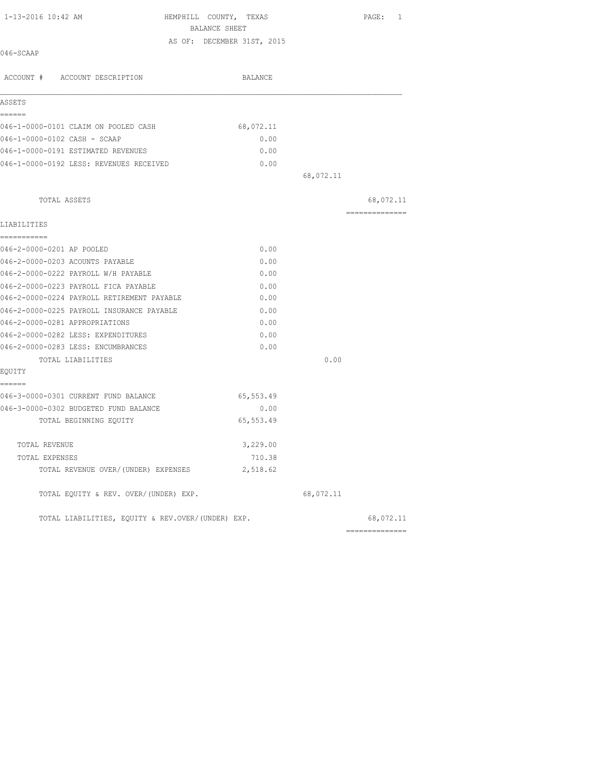| 1-13-2016 10:42 AM                                | HEMPHILL COUNTY, TEXAS<br>BALANCE SHEET | PAGE: 1        |
|---------------------------------------------------|-----------------------------------------|----------------|
|                                                   | AS OF: DECEMBER 31ST, 2015              |                |
| 046-SCAAP                                         |                                         |                |
| ACCOUNT # ACCOUNT DESCRIPTION                     | BALANCE                                 |                |
| ASSETS                                            |                                         |                |
| ------                                            |                                         |                |
| 046-1-0000-0101 CLAIM ON POOLED CASH              | 68,072.11                               |                |
| 046-1-0000-0102 CASH - SCAAP                      | 0.00                                    |                |
| 046-1-0000-0191 ESTIMATED REVENUES                | 0.00                                    |                |
| 046-1-0000-0192 LESS: REVENUES RECEIVED           | 0.00                                    |                |
|                                                   | 68,072.11                               |                |
| TOTAL ASSETS                                      |                                         | 68,072.11      |
| LIABILITIES                                       |                                         | ============== |
| -----------                                       |                                         |                |
| 046-2-0000-0201 AP POOLED                         | 0.00                                    |                |
| 046-2-0000-0203 ACOUNTS PAYABLE                   | 0.00                                    |                |
| 046-2-0000-0222 PAYROLL W/H PAYABLE               | 0.00                                    |                |
| 046-2-0000-0223 PAYROLL FICA PAYABLE              | 0.00                                    |                |
| 046-2-0000-0224 PAYROLL RETIREMENT PAYABLE        | 0.00                                    |                |
| 046-2-0000-0225 PAYROLL INSURANCE PAYABLE         | 0.00                                    |                |
| 046-2-0000-0281 APPROPRIATIONS                    | 0.00                                    |                |
| 046-2-0000-0282 LESS: EXPENDITURES                | 0.00                                    |                |
| 046-2-0000-0283 LESS: ENCUMBRANCES                | 0.00                                    |                |
| TOTAL LIABILITIES                                 |                                         | 0.00           |
| EOUITY                                            |                                         |                |
| ------<br>046-3-0000-0301 CURRENT FUND BALANCE    | 65,553.49                               |                |
| 046-3-0000-0302 BUDGETED FUND BALANCE             | 0.00                                    |                |
| TOTAL BEGINNING EQUITY                            | 65, 553.49                              |                |
| TOTAL REVENUE                                     | 3,229.00                                |                |
| TOTAL EXPENSES                                    | 710.38                                  |                |
| TOTAL REVENUE OVER/(UNDER) EXPENSES               | 2,518.62                                |                |
| TOTAL EQUITY & REV. OVER/(UNDER) EXP.             | 68,072.11                               |                |
| TOTAL LIABILITIES, EQUITY & REV.OVER/(UNDER) EXP. |                                         | 68,072.11      |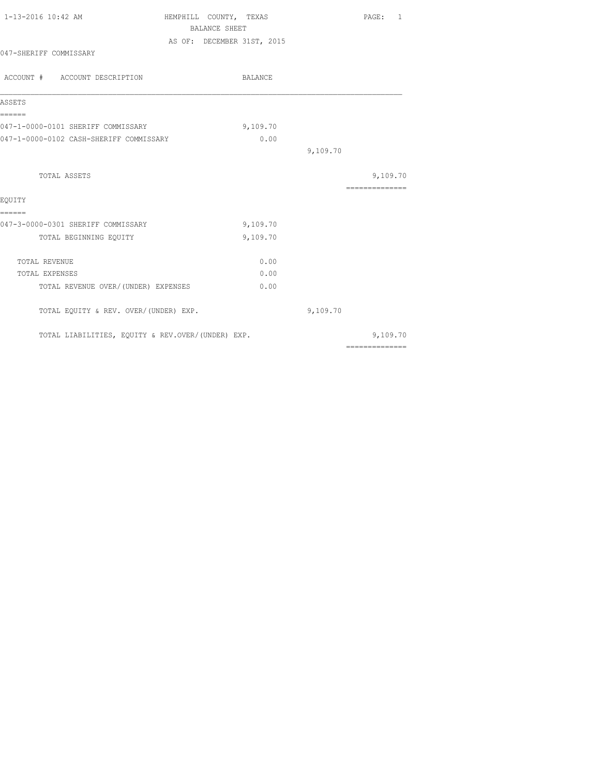| 1-13-2016 10:42 AM                                | HEMPHILL COUNTY, TEXAS |                            |          | PAGE: 1                                                                                                                                                                                                                                                                                                                                                                                                                                                                                |
|---------------------------------------------------|------------------------|----------------------------|----------|----------------------------------------------------------------------------------------------------------------------------------------------------------------------------------------------------------------------------------------------------------------------------------------------------------------------------------------------------------------------------------------------------------------------------------------------------------------------------------------|
|                                                   | <b>BALANCE SHEET</b>   |                            |          |                                                                                                                                                                                                                                                                                                                                                                                                                                                                                        |
|                                                   |                        | AS OF: DECEMBER 31ST, 2015 |          |                                                                                                                                                                                                                                                                                                                                                                                                                                                                                        |
| 047-SHERIFF COMMISSARY                            |                        |                            |          |                                                                                                                                                                                                                                                                                                                                                                                                                                                                                        |
| ACCOUNT # ACCOUNT DESCRIPTION                     |                        | BALANCE                    |          |                                                                                                                                                                                                                                                                                                                                                                                                                                                                                        |
| ASSETS                                            |                        |                            |          |                                                                                                                                                                                                                                                                                                                                                                                                                                                                                        |
| ======<br>047-1-0000-0101 SHERIFF COMMISSARY      |                        | 9,109.70                   |          |                                                                                                                                                                                                                                                                                                                                                                                                                                                                                        |
| 047-1-0000-0102 CASH-SHERIFF COMMISSARY           |                        | 0.00                       |          |                                                                                                                                                                                                                                                                                                                                                                                                                                                                                        |
|                                                   |                        |                            | 9,109.70 |                                                                                                                                                                                                                                                                                                                                                                                                                                                                                        |
| TOTAL ASSETS                                      |                        |                            |          | 9,109.70                                                                                                                                                                                                                                                                                                                                                                                                                                                                               |
|                                                   |                        |                            |          | ==============                                                                                                                                                                                                                                                                                                                                                                                                                                                                         |
| EOUITY                                            |                        |                            |          |                                                                                                                                                                                                                                                                                                                                                                                                                                                                                        |
| ======<br>047-3-0000-0301 SHERIFF COMMISSARY      |                        | 9,109.70                   |          |                                                                                                                                                                                                                                                                                                                                                                                                                                                                                        |
| TOTAL BEGINNING EQUITY                            |                        | 9,109.70                   |          |                                                                                                                                                                                                                                                                                                                                                                                                                                                                                        |
| TOTAL REVENUE                                     |                        | 0.00                       |          |                                                                                                                                                                                                                                                                                                                                                                                                                                                                                        |
| TOTAL EXPENSES                                    |                        | 0.00                       |          |                                                                                                                                                                                                                                                                                                                                                                                                                                                                                        |
| TOTAL REVENUE OVER/(UNDER) EXPENSES               |                        | 0.00                       |          |                                                                                                                                                                                                                                                                                                                                                                                                                                                                                        |
| TOTAL EQUITY & REV. OVER/(UNDER) EXP.             |                        |                            | 9,109.70 |                                                                                                                                                                                                                                                                                                                                                                                                                                                                                        |
| TOTAL LIABILITIES, EQUITY & REV.OVER/(UNDER) EXP. |                        |                            |          | 9,109.70                                                                                                                                                                                                                                                                                                                                                                                                                                                                               |
|                                                   |                        |                            |          | $\begin{array}{cccccccccccccc} \multicolumn{2}{c}{} & \multicolumn{2}{c}{} & \multicolumn{2}{c}{} & \multicolumn{2}{c}{} & \multicolumn{2}{c}{} & \multicolumn{2}{c}{} & \multicolumn{2}{c}{} & \multicolumn{2}{c}{} & \multicolumn{2}{c}{} & \multicolumn{2}{c}{} & \multicolumn{2}{c}{} & \multicolumn{2}{c}{} & \multicolumn{2}{c}{} & \multicolumn{2}{c}{} & \multicolumn{2}{c}{} & \multicolumn{2}{c}{} & \multicolumn{2}{c}{} & \multicolumn{2}{c}{} & \multicolumn{2}{c}{} & \$ |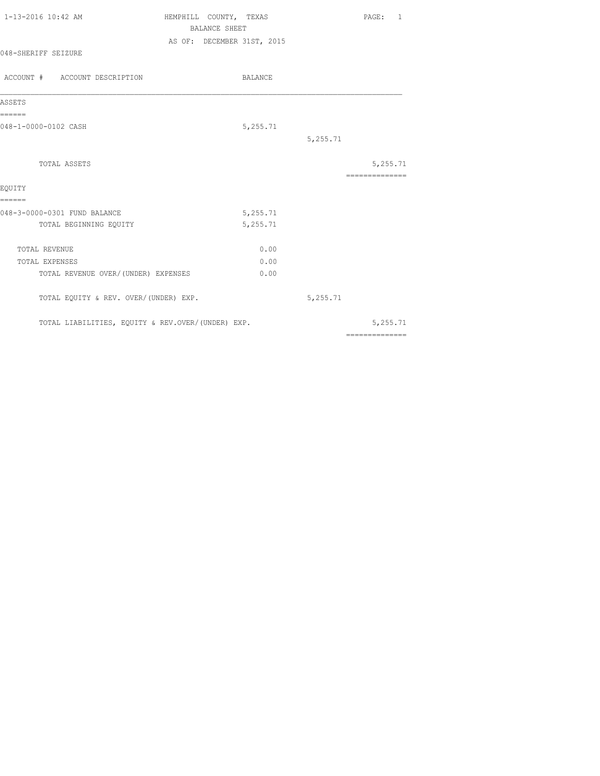| 1-13-2016 10:42 AM                    | HEMPHILL COUNTY, TEXAS |                            |          |          | PAGE: 1         |  |
|---------------------------------------|------------------------|----------------------------|----------|----------|-----------------|--|
|                                       |                        | <b>BALANCE SHEET</b>       |          |          |                 |  |
|                                       |                        | AS OF: DECEMBER 31ST, 2015 |          |          |                 |  |
| 048-SHERIFF SEIZURE                   |                        |                            |          |          |                 |  |
| ACCOUNT # ACCOUNT DESCRIPTION         |                        |                            | BALANCE  |          |                 |  |
| ASSETS                                |                        |                            |          |          |                 |  |
| ======<br>048-1-0000-0102 CASH        |                        |                            | 5,255.71 |          |                 |  |
|                                       |                        |                            |          | 5,255.71 |                 |  |
| TOTAL ASSETS                          |                        |                            |          |          | 5,255.71        |  |
| EOUITY                                |                        |                            |          |          | =============== |  |
| ------                                |                        |                            |          |          |                 |  |
| 048-3-0000-0301 FUND BALANCE          |                        |                            | 5,255.71 |          |                 |  |
| TOTAL BEGINNING EQUITY                |                        |                            | 5,255.71 |          |                 |  |
| TOTAL REVENUE                         |                        |                            | 0.00     |          |                 |  |
| TOTAL EXPENSES                        |                        |                            | 0.00     |          |                 |  |
| TOTAL REVENUE OVER/(UNDER) EXPENSES   |                        |                            | 0.00     |          |                 |  |
| TOTAL EQUITY & REV. OVER/(UNDER) EXP. |                        |                            |          | 5,255.71 |                 |  |

TOTAL LIABILITIES, EQUITY & REV.OVER/(UNDER) EXP. 5,255.71